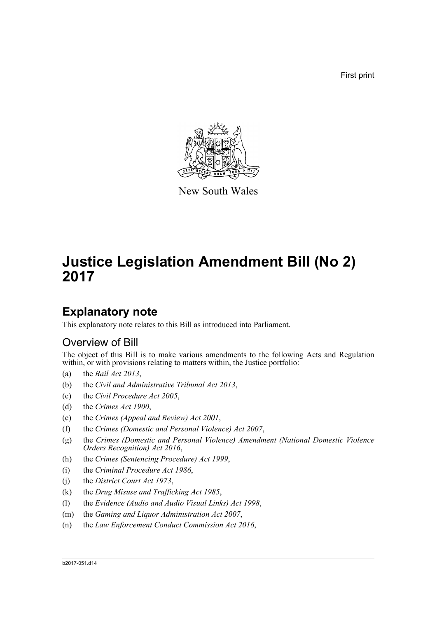First print



New South Wales

# **Justice Legislation Amendment Bill (No 2) 2017**

## **Explanatory note**

This explanatory note relates to this Bill as introduced into Parliament.

### Overview of Bill

The object of this Bill is to make various amendments to the following Acts and Regulation within, or with provisions relating to matters within, the Justice portfolio:

- (a) the *Bail Act 2013*,
- (b) the *Civil and Administrative Tribunal Act 2013*,
- (c) the *Civil Procedure Act 2005*,
- (d) the *Crimes Act 1900*,
- (e) the *Crimes (Appeal and Review) Act 2001*,
- (f) the *Crimes (Domestic and Personal Violence) Act 2007*,
- (g) the *Crimes (Domestic and Personal Violence) Amendment (National Domestic Violence Orders Recognition) Act 2016*,
- (h) the *Crimes (Sentencing Procedure) Act 1999*,
- (i) the *Criminal Procedure Act 1986*,
- (j) the *District Court Act 1973*,
- (k) the *Drug Misuse and Trafficking Act 1985*,
- (l) the *Evidence (Audio and Audio Visual Links) Act 1998*,
- (m) the *Gaming and Liquor Administration Act 2007*,
- (n) the *Law Enforcement Conduct Commission Act 2016*,

#### b2017-051.d14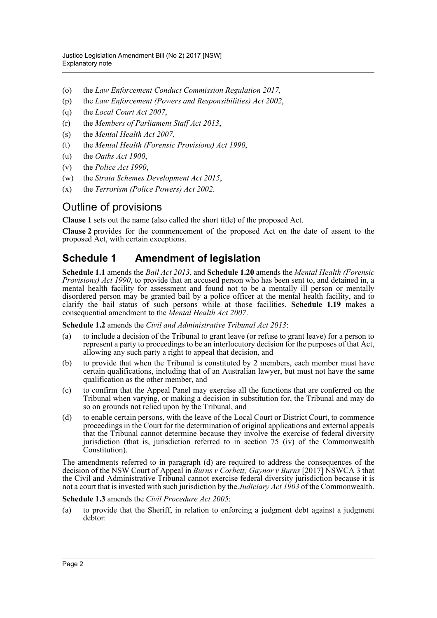- (o) the *Law Enforcement Conduct Commission Regulation 2017,*
- (p) the *Law Enforcement (Powers and Responsibilities) Act 2002*,
- (q) the *Local Court Act 2007*,
- (r) the *Members of Parliament Staff Act 2013*,
- (s) the *Mental Health Act 2007*,
- (t) the *Mental Health (Forensic Provisions) Act 1990*,
- (u) the *Oaths Act 1900*,
- (v) the *Police Act 1990*,
- (w) the *Strata Schemes Development Act 2015*,
- (x) the *Terrorism (Police Powers) Act 2002*.

### Outline of provisions

**Clause 1** sets out the name (also called the short title) of the proposed Act.

**Clause 2** provides for the commencement of the proposed Act on the date of assent to the proposed Act, with certain exceptions.

### **Schedule 1 Amendment of legislation**

**Schedule 1.1** amends the *Bail Act 2013*, and **Schedule 1.20** amends the *Mental Health (Forensic Provisions) Act 1990*, to provide that an accused person who has been sent to, and detained in, a mental health facility for assessment and found not to be a mentally ill person or mentally disordered person may be granted bail by a police officer at the mental health facility, and to clarify the bail status of such persons while at those facilities. **Schedule 1.19** makes a consequential amendment to the *Mental Health Act 2007*.

**Schedule 1.2** amends the *Civil and Administrative Tribunal Act 2013*:

- (a) to include a decision of the Tribunal to grant leave (or refuse to grant leave) for a person to represent a party to proceedings to be an interlocutory decision for the purposes of that Act, allowing any such party a right to appeal that decision, and
- (b) to provide that when the Tribunal is constituted by 2 members, each member must have certain qualifications, including that of an Australian lawyer, but must not have the same qualification as the other member, and
- (c) to confirm that the Appeal Panel may exercise all the functions that are conferred on the Tribunal when varying, or making a decision in substitution for, the Tribunal and may do so on grounds not relied upon by the Tribunal, and
- (d) to enable certain persons, with the leave of the Local Court or District Court, to commence proceedings in the Court for the determination of original applications and external appeals that the Tribunal cannot determine because they involve the exercise of federal diversity jurisdiction (that is, jurisdiction referred to in section 75 (iv) of the Commonwealth Constitution).

The amendments referred to in paragraph (d) are required to address the consequences of the decision of the NSW Court of Appeal in *Burns v Corbett; Gaynor v Burns* [2017] NSWCA 3 that the Civil and Administrative Tribunal cannot exercise federal diversity jurisdiction because it is not a court that is invested with such jurisdiction by the *Judiciary Act 1903* of the Commonwealth.

### **Schedule 1.3** amends the *Civil Procedure Act 2005*:

(a) to provide that the Sheriff, in relation to enforcing a judgment debt against a judgment debtor: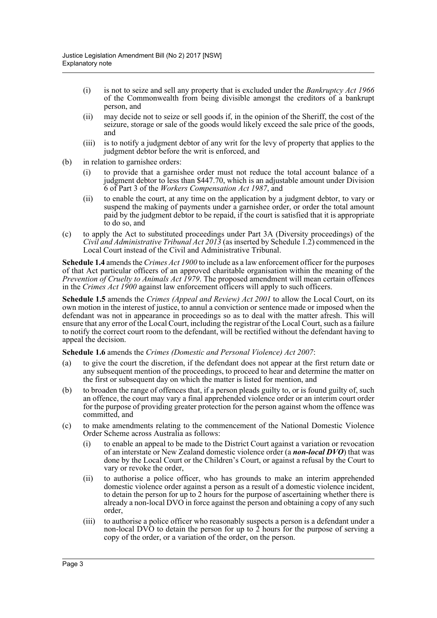- (i) is not to seize and sell any property that is excluded under the *Bankruptcy Act 1966* of the Commonwealth from being divisible amongst the creditors of a bankrupt person, and
- (ii) may decide not to seize or sell goods if, in the opinion of the Sheriff, the cost of the seizure, storage or sale of the goods would likely exceed the sale price of the goods, and
- (iii) is to notify a judgment debtor of any writ for the levy of property that applies to the judgment debtor before the writ is enforced, and
- (b) in relation to garnishee orders:
	- (i) to provide that a garnishee order must not reduce the total account balance of a judgment debtor to less than \$447.70, which is an adjustable amount under Division 6 of Part 3 of the *Workers Compensation Act 1987*, and
	- (ii) to enable the court, at any time on the application by a judgment debtor, to vary or suspend the making of payments under a garnishee order, or order the total amount paid by the judgment debtor to be repaid, if the court is satisfied that it is appropriate to do so, and
- (c) to apply the Act to substituted proceedings under Part 3A (Diversity proceedings) of the *Civil and Administrative Tribunal Act 2013* (as inserted by Schedule 1.2) commenced in the Local Court instead of the Civil and Administrative Tribunal.

**Schedule 1.4** amends the *Crimes Act 1900* to include as a law enforcement officer for the purposes of that Act particular officers of an approved charitable organisation within the meaning of the *Prevention of Cruelty to Animals Act 1979.* The proposed amendment will mean certain offences in the *Crimes Act 1900* against law enforcement officers will apply to such officers.

**Schedule 1.5** amends the *Crimes (Appeal and Review) Act 2001* to allow the Local Court, on its own motion in the interest of justice, to annul a conviction or sentence made or imposed when the defendant was not in appearance in proceedings so as to deal with the matter afresh. This will ensure that any error of the Local Court, including the registrar of the Local Court, such as a failure to notify the correct court room to the defendant, will be rectified without the defendant having to appeal the decision.

### **Schedule 1.6** amends the *Crimes (Domestic and Personal Violence) Act 2007*:

- (a) to give the court the discretion, if the defendant does not appear at the first return date or any subsequent mention of the proceedings, to proceed to hear and determine the matter on the first or subsequent day on which the matter is listed for mention, and
- (b) to broaden the range of offences that, if a person pleads guilty to, or is found guilty of, such an offence, the court may vary a final apprehended violence order or an interim court order for the purpose of providing greater protection for the person against whom the offence was committed, and
- (c) to make amendments relating to the commencement of the National Domestic Violence Order Scheme across Australia as follows:
	- (i) to enable an appeal to be made to the District Court against a variation or revocation of an interstate or New Zealand domestic violence order (a *non-local DVO*) that was done by the Local Court or the Children's Court, or against a refusal by the Court to vary or revoke the order,
	- (ii) to authorise a police officer, who has grounds to make an interim apprehended domestic violence order against a person as a result of a domestic violence incident, to detain the person for up to 2 hours for the purpose of ascertaining whether there is already a non-local DVO in force against the person and obtaining a copy of any such order,
	- (iii) to authorise a police officer who reasonably suspects a person is a defendant under a non-local DVO to detain the person for up to 2 hours for the purpose of serving a copy of the order, or a variation of the order, on the person.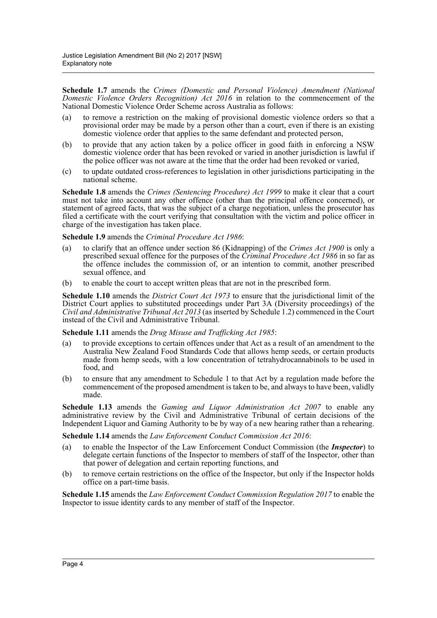**Schedule 1.7** amends the *Crimes (Domestic and Personal Violence) Amendment (National Domestic Violence Orders Recognition) Act 2016* in relation to the commencement of the National Domestic Violence Order Scheme across Australia as follows:

- (a) to remove a restriction on the making of provisional domestic violence orders so that a provisional order may be made by a person other than a court, even if there is an existing domestic violence order that applies to the same defendant and protected person,
- (b) to provide that any action taken by a police officer in good faith in enforcing a NSW domestic violence order that has been revoked or varied in another jurisdiction is lawful if the police officer was not aware at the time that the order had been revoked or varied,
- (c) to update outdated cross-references to legislation in other jurisdictions participating in the national scheme.

**Schedule 1.8** amends the *Crimes (Sentencing Procedure) Act 1999* to make it clear that a court must not take into account any other offence (other than the principal offence concerned), or statement of agreed facts, that was the subject of a charge negotiation, unless the prosecutor has filed a certificate with the court verifying that consultation with the victim and police officer in charge of the investigation has taken place.

**Schedule 1.9** amends the *Criminal Procedure Act 1986*:

- (a) to clarify that an offence under section 86 (Kidnapping) of the *Crimes Act 1900* is only a prescribed sexual offence for the purposes of the *Criminal Procedure Act 1986* in so far as the offence includes the commission of, or an intention to commit, another prescribed sexual offence, and
- (b) to enable the court to accept written pleas that are not in the prescribed form.

**Schedule 1.10** amends the *District Court Act 1973* to ensure that the jurisdictional limit of the District Court applies to substituted proceedings under Part 3A (Diversity proceedings) of the *Civil and Administrative Tribunal Act 2013* (as inserted by Schedule 1.2) commenced in the Court instead of the Civil and Administrative Tribunal.

### **Schedule 1.11** amends the *Drug Misuse and Trafficking Act 1985*:

- (a) to provide exceptions to certain offences under that Act as a result of an amendment to the Australia New Zealand Food Standards Code that allows hemp seeds, or certain products made from hemp seeds, with a low concentration of tetrahydrocannabinols to be used in food, and
- (b) to ensure that any amendment to Schedule 1 to that Act by a regulation made before the commencement of the proposed amendment is taken to be, and always to have been, validly made.

**Schedule 1.13** amends the *Gaming and Liquor Administration Act 2007* to enable any administrative review by the Civil and Administrative Tribunal of certain decisions of the Independent Liquor and Gaming Authority to be by way of a new hearing rather than a rehearing.

### **Schedule 1.14** amends the *Law Enforcement Conduct Commission Act 2016*:

- (a) to enable the Inspector of the Law Enforcement Conduct Commission (the *Inspector*) to delegate certain functions of the Inspector to members of staff of the Inspector, other than that power of delegation and certain reporting functions, and
- (b) to remove certain restrictions on the office of the Inspector, but only if the Inspector holds office on a part-time basis.

**Schedule 1.15** amends the *Law Enforcement Conduct Commission Regulation 2017* to enable the Inspector to issue identity cards to any member of staff of the Inspector.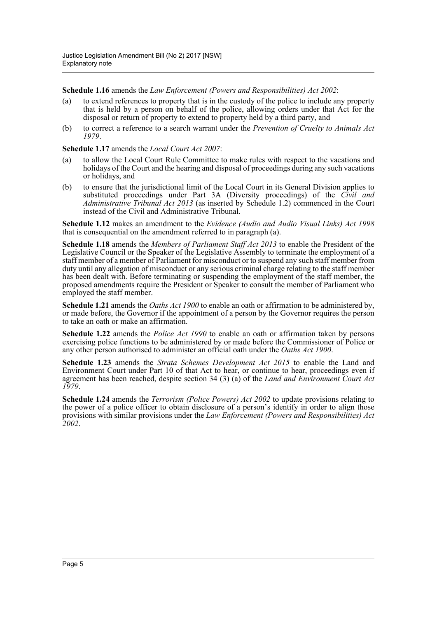**Schedule 1.16** amends the *Law Enforcement (Powers and Responsibilities) Act 2002*:

- (a) to extend references to property that is in the custody of the police to include any property that is held by a person on behalf of the police, allowing orders under that Act for the disposal or return of property to extend to property held by a third party, and
- (b) to correct a reference to a search warrant under the *Prevention of Cruelty to Animals Act 1979*.

**Schedule 1.17** amends the *Local Court Act 2007*:

- (a) to allow the Local Court Rule Committee to make rules with respect to the vacations and holidays of the Court and the hearing and disposal of proceedings during any such vacations or holidays, and
- (b) to ensure that the jurisdictional limit of the Local Court in its General Division applies to substituted proceedings under Part 3A (Diversity proceedings) of the *Civil and Administrative Tribunal Act 2013* (as inserted by Schedule 1.2) commenced in the Court instead of the Civil and Administrative Tribunal.

**Schedule 1.12** makes an amendment to the *Evidence (Audio and Audio Visual Links) Act 1998* that is consequential on the amendment referred to in paragraph (a).

**Schedule 1.18** amends the *Members of Parliament Staff Act 2013* to enable the President of the Legislative Council or the Speaker of the Legislative Assembly to terminate the employment of a staff member of a member of Parliament for misconduct or to suspend any such staff member from duty until any allegation of misconduct or any serious criminal charge relating to the staff member has been dealt with. Before terminating or suspending the employment of the staff member, the proposed amendments require the President or Speaker to consult the member of Parliament who employed the staff member.

**Schedule 1.21** amends the *Oaths Act 1900* to enable an oath or affirmation to be administered by, or made before, the Governor if the appointment of a person by the Governor requires the person to take an oath or make an affirmation.

**Schedule 1.22** amends the *Police Act 1990* to enable an oath or affirmation taken by persons exercising police functions to be administered by or made before the Commissioner of Police or any other person authorised to administer an official oath under the *Oaths Act 1900*.

**Schedule 1.23** amends the *Strata Schemes Development Act 2015* to enable the Land and Environment Court under Part 10 of that Act to hear, or continue to hear, proceedings even if agreement has been reached, despite section 34 (3) (a) of the *Land and Environment Court Act 1979*.

**Schedule 1.24** amends the *Terrorism (Police Powers) Act 2002* to update provisions relating to the power of a police officer to obtain disclosure of a person's identify in order to align those provisions with similar provisions under the *Law Enforcement (Powers and Responsibilities) Act 2002*.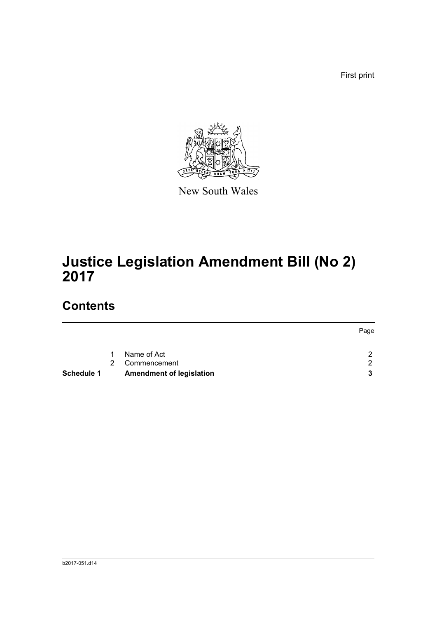First print



New South Wales

# **Justice Legislation Amendment Bill (No 2) 2017**

## **Contents**

| <b>Schedule 1</b> |           | <b>Amendment of legislation</b> |               |
|-------------------|-----------|---------------------------------|---------------|
|                   |           | 2 Commencement                  | $\mathcal{P}$ |
|                   | $1 \quad$ | Name of Act                     | 2             |
|                   |           |                                 | Page          |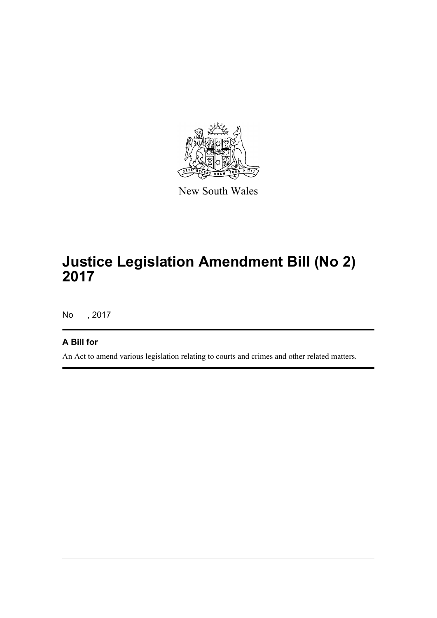

New South Wales

# **Justice Legislation Amendment Bill (No 2) 2017**

No , 2017

### **A Bill for**

An Act to amend various legislation relating to courts and crimes and other related matters.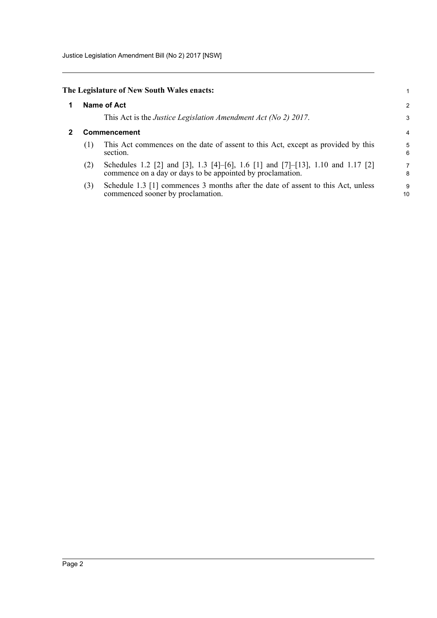Justice Legislation Amendment Bill (No 2) 2017 [NSW]

### <span id="page-7-0"></span>**The Legislature of New South Wales enacts:**

### **1 Name of Act**

This Act is the *Justice Legislation Amendment Act (No 2) 2017*.

### <span id="page-7-1"></span>**2 Commencement**

(1) This Act commences on the date of assent to this Act, except as provided by this section.

1 2 3

- (2) Schedules 1.2 [2] and [3], 1.3 [4]–[6], 1.6 [1] and [7]–[13], 1.10 and 1.17 [2] commence on a day or days to be appointed by proclamation.
- (3) Schedule 1.3 [1] commences 3 months after the date of assent to this Act, unless commenced sooner by proclamation.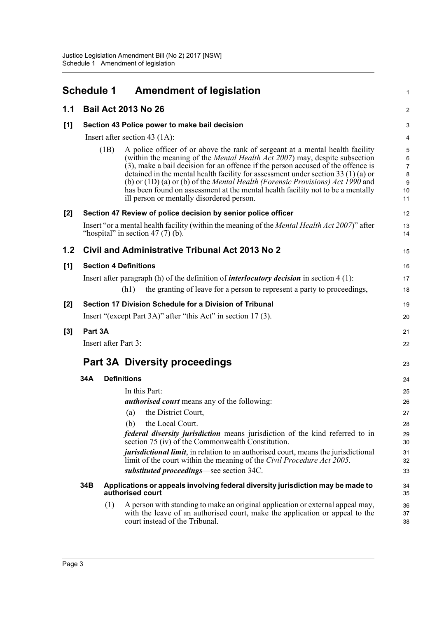<span id="page-8-0"></span>

|       | <b>Schedule 1</b>                             |                    | <b>Amendment of legislation</b>                                                                                                                                                                                                                                                                                                                                                                                                                                                                                                                                        | $\mathbf{1}$                                             |  |  |
|-------|-----------------------------------------------|--------------------|------------------------------------------------------------------------------------------------------------------------------------------------------------------------------------------------------------------------------------------------------------------------------------------------------------------------------------------------------------------------------------------------------------------------------------------------------------------------------------------------------------------------------------------------------------------------|----------------------------------------------------------|--|--|
| 1.1   |                                               |                    | <b>Bail Act 2013 No 26</b>                                                                                                                                                                                                                                                                                                                                                                                                                                                                                                                                             | $\boldsymbol{2}$                                         |  |  |
| [1]   | Section 43 Police power to make bail decision |                    |                                                                                                                                                                                                                                                                                                                                                                                                                                                                                                                                                                        |                                                          |  |  |
|       |                                               |                    | Insert after section 43 $(1A)$ :                                                                                                                                                                                                                                                                                                                                                                                                                                                                                                                                       | 4                                                        |  |  |
|       |                                               | (1B)               | A police officer of or above the rank of sergeant at a mental health facility<br>(within the meaning of the <i>Mental Health Act 2007</i> ) may, despite subsection<br>(3), make a bail decision for an offence if the person accused of the offence is<br>detained in the mental health facility for assessment under section 33 (1) (a) or<br>(b) or $(1D)(a)$ or (b) of the <i>Mental Health (Forensic Provisions) Act 1990</i> and<br>has been found on assessment at the mental health facility not to be a mentally<br>ill person or mentally disordered person. | $\mathbf 5$<br>6<br>$\overline{7}$<br>8<br>9<br>10<br>11 |  |  |
| $[2]$ |                                               |                    | Section 47 Review of police decision by senior police officer                                                                                                                                                                                                                                                                                                                                                                                                                                                                                                          | 12                                                       |  |  |
|       |                                               |                    | Insert "or a mental health facility (within the meaning of the <i>Mental Health Act 2007</i> )" after<br>"hospital" in section $47(7)$ (b).                                                                                                                                                                                                                                                                                                                                                                                                                            | 13<br>14                                                 |  |  |
| 1.2   |                                               |                    | Civil and Administrative Tribunal Act 2013 No 2                                                                                                                                                                                                                                                                                                                                                                                                                                                                                                                        | 15                                                       |  |  |
| [1]   |                                               |                    | <b>Section 4 Definitions</b>                                                                                                                                                                                                                                                                                                                                                                                                                                                                                                                                           | 16                                                       |  |  |
|       |                                               |                    | Insert after paragraph (h) of the definition of <i>interlocutory decision</i> in section $4(1)$ :                                                                                                                                                                                                                                                                                                                                                                                                                                                                      | 17                                                       |  |  |
|       |                                               |                    | the granting of leave for a person to represent a party to proceedings,<br>(h1)                                                                                                                                                                                                                                                                                                                                                                                                                                                                                        | 18                                                       |  |  |
| $[2]$ |                                               |                    | Section 17 Division Schedule for a Division of Tribunal                                                                                                                                                                                                                                                                                                                                                                                                                                                                                                                | 19                                                       |  |  |
|       |                                               |                    | Insert "(except Part 3A)" after "this Act" in section 17(3).                                                                                                                                                                                                                                                                                                                                                                                                                                                                                                           | 20                                                       |  |  |
| $[3]$ | Part 3A                                       |                    |                                                                                                                                                                                                                                                                                                                                                                                                                                                                                                                                                                        | 21                                                       |  |  |
|       | Insert after Part 3:                          |                    |                                                                                                                                                                                                                                                                                                                                                                                                                                                                                                                                                                        | 22                                                       |  |  |
|       |                                               |                    | <b>Part 3A Diversity proceedings</b>                                                                                                                                                                                                                                                                                                                                                                                                                                                                                                                                   | 23                                                       |  |  |
|       | 34A                                           | <b>Definitions</b> |                                                                                                                                                                                                                                                                                                                                                                                                                                                                                                                                                                        | 24                                                       |  |  |
|       |                                               |                    | In this Part:                                                                                                                                                                                                                                                                                                                                                                                                                                                                                                                                                          | 25                                                       |  |  |
|       |                                               |                    | <i>authorised court</i> means any of the following:                                                                                                                                                                                                                                                                                                                                                                                                                                                                                                                    | 26                                                       |  |  |
|       |                                               |                    | (a) the District Court,                                                                                                                                                                                                                                                                                                                                                                                                                                                                                                                                                | 27                                                       |  |  |
|       |                                               |                    | the Local Court.<br>(b)<br><i>federal diversity jurisdiction</i> means jurisdiction of the kind referred to in                                                                                                                                                                                                                                                                                                                                                                                                                                                         | 28<br>29                                                 |  |  |
|       |                                               |                    | section 75 (iv) of the Commonwealth Constitution.                                                                                                                                                                                                                                                                                                                                                                                                                                                                                                                      | 30                                                       |  |  |
|       |                                               |                    | <i>jurisdictional limit</i> , in relation to an authorised court, means the jurisdictional<br>limit of the court within the meaning of the Civil Procedure Act 2005.<br>substituted proceedings—see section 34C.                                                                                                                                                                                                                                                                                                                                                       | 31<br>32<br>33                                           |  |  |
|       | 34B                                           |                    | Applications or appeals involving federal diversity jurisdiction may be made to<br>authorised court                                                                                                                                                                                                                                                                                                                                                                                                                                                                    | 34<br>35                                                 |  |  |
|       |                                               | (1)                | A person with standing to make an original application or external appeal may,<br>with the leave of an authorised court, make the application or appeal to the<br>court instead of the Tribunal.                                                                                                                                                                                                                                                                                                                                                                       | 36<br>37<br>38                                           |  |  |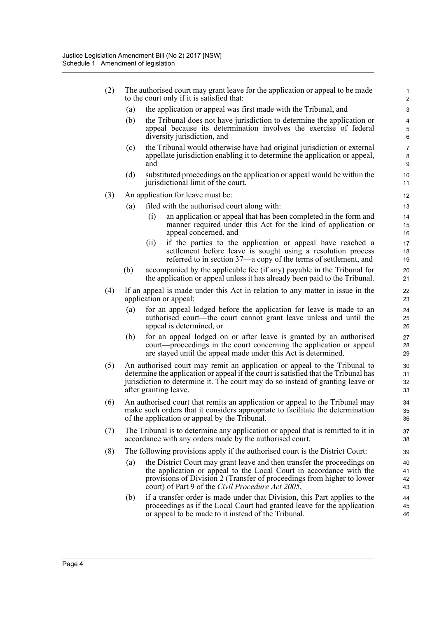| (2) | The authorised court may grant leave for the application or appeal to be made<br>to the court only if it is satisfied that: |                                                                                                                                                                                                                                                                               |                          |  |  |
|-----|-----------------------------------------------------------------------------------------------------------------------------|-------------------------------------------------------------------------------------------------------------------------------------------------------------------------------------------------------------------------------------------------------------------------------|--------------------------|--|--|
|     | (a)                                                                                                                         | the application or appeal was first made with the Tribunal, and                                                                                                                                                                                                               | 3                        |  |  |
|     | (b)                                                                                                                         | the Tribunal does not have jurisdiction to determine the application or<br>appeal because its determination involves the exercise of federal<br>diversity jurisdiction, and                                                                                                   | 4<br>5<br>6              |  |  |
|     | (c)                                                                                                                         | the Tribunal would otherwise have had original jurisdiction or external<br>appellate jurisdiction enabling it to determine the application or appeal,<br>and                                                                                                                  | $\overline{7}$<br>8<br>9 |  |  |
|     | (d)                                                                                                                         | substituted proceedings on the application or appeal would be within the<br>jurisdictional limit of the court.                                                                                                                                                                | 10<br>11                 |  |  |
| (3) |                                                                                                                             | An application for leave must be:                                                                                                                                                                                                                                             | 12                       |  |  |
|     | (a)                                                                                                                         | filed with the authorised court along with:                                                                                                                                                                                                                                   | 13                       |  |  |
|     |                                                                                                                             | (i)<br>an application or appeal that has been completed in the form and<br>manner required under this Act for the kind of application or<br>appeal concerned, and                                                                                                             | 14<br>15<br>16           |  |  |
|     |                                                                                                                             | if the parties to the application or appeal have reached a<br>(ii)<br>settlement before leave is sought using a resolution process<br>referred to in section 37—a copy of the terms of settlement, and                                                                        | 17<br>18<br>19           |  |  |
|     | (b)                                                                                                                         | accompanied by the applicable fee (if any) payable in the Tribunal for<br>the application or appeal unless it has already been paid to the Tribunal.                                                                                                                          | 20<br>21                 |  |  |
| (4) |                                                                                                                             | If an appeal is made under this Act in relation to any matter in issue in the<br>application or appeal:                                                                                                                                                                       | 22<br>23                 |  |  |
|     | (a)                                                                                                                         | for an appeal lodged before the application for leave is made to an<br>authorised court—the court cannot grant leave unless and until the<br>appeal is determined, or                                                                                                         | 24<br>25<br>26           |  |  |
|     | (b)                                                                                                                         | for an appeal lodged on or after leave is granted by an authorised<br>court—proceedings in the court concerning the application or appeal<br>are stayed until the appeal made under this Act is determined.                                                                   | 27<br>28<br>29           |  |  |
| (5) |                                                                                                                             | An authorised court may remit an application or appeal to the Tribunal to<br>determine the application or appeal if the court is satisfied that the Tribunal has<br>jurisdiction to determine it. The court may do so instead of granting leave or<br>after granting leave.   | 30<br>31<br>32<br>33     |  |  |
| (6) |                                                                                                                             | An authorised court that remits an application or appeal to the Tribunal may<br>make such orders that it considers appropriate to facilitate the determination<br>of the application or appeal by the Tribunal.                                                               | 34<br>35<br>36           |  |  |
| (7) |                                                                                                                             | The Tribunal is to determine any application or appeal that is remitted to it in<br>accordance with any orders made by the authorised court.                                                                                                                                  | 37<br>38                 |  |  |
| (8) |                                                                                                                             | The following provisions apply if the authorised court is the District Court:                                                                                                                                                                                                 | 39                       |  |  |
|     | (a)                                                                                                                         | the District Court may grant leave and then transfer the proceedings on<br>the application or appeal to the Local Court in accordance with the<br>provisions of Division 2 (Transfer of proceedings from higher to lower<br>court) of Part 9 of the Civil Procedure Act 2005, | 40<br>41<br>42<br>43     |  |  |
|     | (b)                                                                                                                         | if a transfer order is made under that Division, this Part applies to the<br>proceedings as if the Local Court had granted leave for the application<br>or appeal to be made to it instead of the Tribunal.                                                                   | 44<br>45<br>46           |  |  |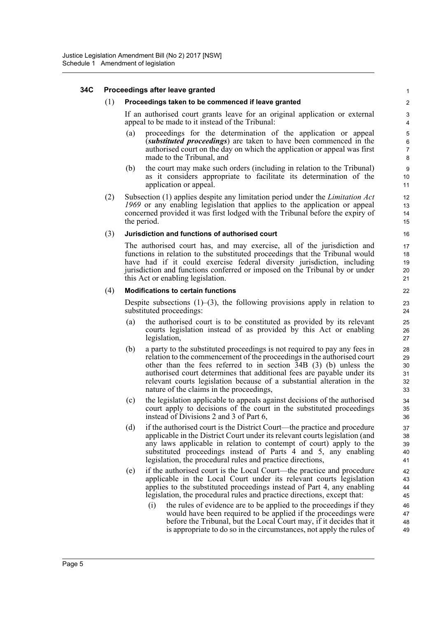### **34C Proceedings after leave granted**

#### (1) **Proceedings taken to be commenced if leave granted**

If an authorised court grants leave for an original application or external appeal to be made to it instead of the Tribunal:

- (a) proceedings for the determination of the application or appeal (*substituted proceedings*) are taken to have been commenced in the authorised court on the day on which the application or appeal was first made to the Tribunal, and
- (b) the court may make such orders (including in relation to the Tribunal) as it considers appropriate to facilitate its determination of the application or appeal.
- (2) Subsection (1) applies despite any limitation period under the *Limitation Act 1969* or any enabling legislation that applies to the application or appeal concerned provided it was first lodged with the Tribunal before the expiry of the period.

#### (3) **Jurisdiction and functions of authorised court**

The authorised court has, and may exercise, all of the jurisdiction and functions in relation to the substituted proceedings that the Tribunal would have had if it could exercise federal diversity jurisdiction, including jurisdiction and functions conferred or imposed on the Tribunal by or under this Act or enabling legislation.

#### (4) **Modifications to certain functions**

Despite subsections  $(1)$ – $(3)$ , the following provisions apply in relation to substituted proceedings:

- (a) the authorised court is to be constituted as provided by its relevant courts legislation instead of as provided by this Act or enabling legislation,
- (b) a party to the substituted proceedings is not required to pay any fees in relation to the commencement of the proceedings in the authorised court other than the fees referred to in section 34B (3) (b) unless the authorised court determines that additional fees are payable under its relevant courts legislation because of a substantial alteration in the nature of the claims in the proceedings,
- (c) the legislation applicable to appeals against decisions of the authorised court apply to decisions of the court in the substituted proceedings instead of Divisions 2 and 3 of Part 6,
- (d) if the authorised court is the District Court—the practice and procedure applicable in the District Court under its relevant courts legislation (and any laws applicable in relation to contempt of court) apply to the substituted proceedings instead of Parts 4 and 5, any enabling legislation, the procedural rules and practice directions,
- (e) if the authorised court is the Local Court—the practice and procedure applicable in the Local Court under its relevant courts legislation applies to the substituted proceedings instead of Part 4, any enabling legislation, the procedural rules and practice directions, except that:
	- (i) the rules of evidence are to be applied to the proceedings if they would have been required to be applied if the proceedings were before the Tribunal, but the Local Court may, if it decides that it is appropriate to do so in the circumstances, not apply the rules of 46 47 48 49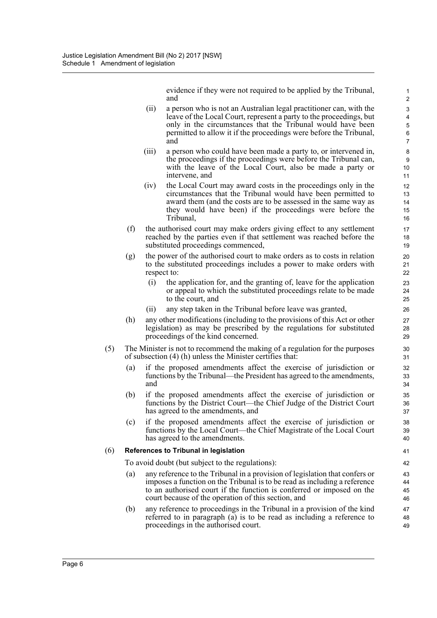evidence if they were not required to be applied by the Tribunal, and

- (ii) a person who is not an Australian legal practitioner can, with the leave of the Local Court, represent a party to the proceedings, but only in the circumstances that the Tribunal would have been permitted to allow it if the proceedings were before the Tribunal, and
- (iii) a person who could have been made a party to, or intervened in, the proceedings if the proceedings were before the Tribunal can, with the leave of the Local Court, also be made a party or intervene, and
- (iv) the Local Court may award costs in the proceedings only in the circumstances that the Tribunal would have been permitted to award them (and the costs are to be assessed in the same way as they would have been) if the proceedings were before the Tribunal,
- (f) the authorised court may make orders giving effect to any settlement reached by the parties even if that settlement was reached before the substituted proceedings commenced,
- (g) the power of the authorised court to make orders as to costs in relation to the substituted proceedings includes a power to make orders with respect to:
	- (i) the application for, and the granting of, leave for the application or appeal to which the substituted proceedings relate to be made to the court, and
	- (ii) any step taken in the Tribunal before leave was granted,
- (h) any other modifications (including to the provisions of this Act or other legislation) as may be prescribed by the regulations for substituted proceedings of the kind concerned.
- (5) The Minister is not to recommend the making of a regulation for the purposes of subsection (4) (h) unless the Minister certifies that:
	- (a) if the proposed amendments affect the exercise of jurisdiction or functions by the Tribunal—the President has agreed to the amendments, and
	- (b) if the proposed amendments affect the exercise of jurisdiction or functions by the District Court—the Chief Judge of the District Court has agreed to the amendments, and
	- (c) if the proposed amendments affect the exercise of jurisdiction or functions by the Local Court—the Chief Magistrate of the Local Court has agreed to the amendments.

### (6) **References to Tribunal in legislation**

To avoid doubt (but subject to the regulations):

- (a) any reference to the Tribunal in a provision of legislation that confers or imposes a function on the Tribunal is to be read as including a reference to an authorised court if the function is conferred or imposed on the court because of the operation of this section, and
- (b) any reference to proceedings in the Tribunal in a provision of the kind referred to in paragraph (a) is to be read as including a reference to proceedings in the authorised court.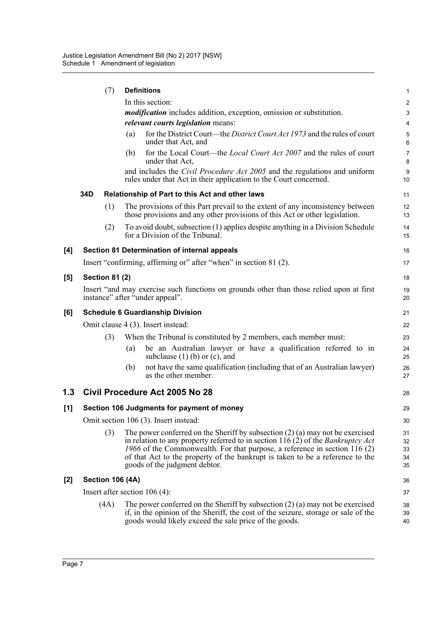|     |     | (7)                   | <b>Definitions</b>                                                                                                                                                                                                                                                                                                                                                          | 1                          |
|-----|-----|-----------------------|-----------------------------------------------------------------------------------------------------------------------------------------------------------------------------------------------------------------------------------------------------------------------------------------------------------------------------------------------------------------------------|----------------------------|
|     |     |                       | In this section:                                                                                                                                                                                                                                                                                                                                                            | 2                          |
|     |     |                       | <i>modification</i> includes addition, exception, omission or substitution.                                                                                                                                                                                                                                                                                                 | 3                          |
|     |     |                       | relevant courts legislation means:                                                                                                                                                                                                                                                                                                                                          | 4                          |
|     |     |                       | for the District Court—the District Court Act 1973 and the rules of court<br>(a)<br>under that Act, and                                                                                                                                                                                                                                                                     | 5<br>6                     |
|     |     |                       | for the Local Court—the <i>Local Court Act 2007</i> and the rules of court<br>(b)<br>under that Act,                                                                                                                                                                                                                                                                        | $\overline{7}$<br>8        |
|     |     |                       | and includes the Civil Procedure Act 2005 and the regulations and uniform<br>rules under that Act in their application to the Court concerned.                                                                                                                                                                                                                              | 9<br>10                    |
|     | 34D |                       | Relationship of Part to this Act and other laws                                                                                                                                                                                                                                                                                                                             | 11                         |
|     |     | (1)                   | The provisions of this Part prevail to the extent of any inconsistency between<br>those provisions and any other provisions of this Act or other legislation.                                                                                                                                                                                                               | 12<br>13                   |
|     |     | (2)                   | To avoid doubt, subsection (1) applies despite anything in a Division Schedule<br>for a Division of the Tribunal.                                                                                                                                                                                                                                                           | 14<br>15                   |
| [4] |     |                       | Section 81 Determination of internal appeals                                                                                                                                                                                                                                                                                                                                | 16                         |
|     |     |                       | Insert "confirming, affirming or" after "when" in section 81 (2).                                                                                                                                                                                                                                                                                                           | 17                         |
| [5] |     | <b>Section 81 (2)</b> |                                                                                                                                                                                                                                                                                                                                                                             | 18                         |
|     |     |                       | Insert "and may exercise such functions on grounds other than those relied upon at first<br>instance" after "under appeal".                                                                                                                                                                                                                                                 | 19<br>20                   |
| [6] |     |                       | <b>Schedule 6 Guardianship Division</b>                                                                                                                                                                                                                                                                                                                                     | 21                         |
|     |     |                       | Omit clause 4 (3). Insert instead:                                                                                                                                                                                                                                                                                                                                          | 22                         |
|     |     | (3)                   | When the Tribunal is constituted by 2 members, each member must:                                                                                                                                                                                                                                                                                                            | 23                         |
|     |     |                       | be an Australian lawyer or have a qualification referred to in<br>(a)<br>subclause $(1)$ (b) or (c), and                                                                                                                                                                                                                                                                    | 24<br>25                   |
|     |     |                       | not have the same qualification (including that of an Australian lawyer)<br>(b)<br>as the other member.                                                                                                                                                                                                                                                                     | 26<br>27                   |
| 1.3 |     |                       | Civil Procedure Act 2005 No 28                                                                                                                                                                                                                                                                                                                                              | 28                         |
| [1] |     |                       | Section 106 Judgments for payment of money                                                                                                                                                                                                                                                                                                                                  | 29                         |
|     |     |                       | Omit section 106 (3). Insert instead:                                                                                                                                                                                                                                                                                                                                       | 30                         |
|     |     | (3)                   | The power conferred on the Sheriff by subsection $(2)$ (a) may not be exercised<br>in relation to any property referred to in section 116 (2) of the <i>Bankruptcy Act</i><br>1966 of the Commonwealth. For that purpose, a reference in section $116(2)$<br>of that Act to the property of the bankrupt is taken to be a reference to the<br>goods of the judgment debtor. | 31<br>32<br>33<br>34<br>35 |
| [2] |     |                       | <b>Section 106 (4A)</b>                                                                                                                                                                                                                                                                                                                                                     | 36                         |
|     |     |                       | Insert after section $106(4)$ :                                                                                                                                                                                                                                                                                                                                             | 37                         |
|     |     | (4A)                  | The power conferred on the Sheriff by subsection $(2)$ (a) may not be exercised<br>if, in the opinion of the Sheriff, the cost of the seizure, storage or sale of the<br>goods would likely exceed the sale price of the goods.                                                                                                                                             | 38<br>39<br>40             |
|     |     |                       |                                                                                                                                                                                                                                                                                                                                                                             |                            |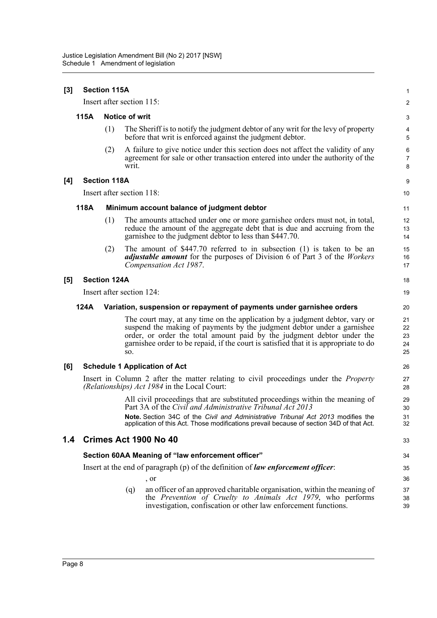| [3] |      | <b>Section 115A</b> |                           |                                                                                                                                                                                                                                                                                                                          | $\mathbf{1}$               |
|-----|------|---------------------|---------------------------|--------------------------------------------------------------------------------------------------------------------------------------------------------------------------------------------------------------------------------------------------------------------------------------------------------------------------|----------------------------|
|     |      |                     | Insert after section 115: |                                                                                                                                                                                                                                                                                                                          | $\overline{c}$             |
|     | 115A |                     | Notice of writ            |                                                                                                                                                                                                                                                                                                                          | 3                          |
|     |      | (1)                 |                           | The Sheriff is to notify the judgment debtor of any writ for the levy of property<br>before that writ is enforced against the judgment debtor.                                                                                                                                                                           | 4<br>5                     |
|     |      | (2)                 | writ.                     | A failure to give notice under this section does not affect the validity of any<br>agreement for sale or other transaction entered into under the authority of the                                                                                                                                                       | 6<br>$\overline{7}$<br>8   |
| [4] |      | <b>Section 118A</b> |                           |                                                                                                                                                                                                                                                                                                                          | 9                          |
|     |      |                     | Insert after section 118: |                                                                                                                                                                                                                                                                                                                          | 10                         |
|     | 118A |                     |                           | Minimum account balance of judgment debtor                                                                                                                                                                                                                                                                               | 11                         |
|     |      | (1)                 |                           | The amounts attached under one or more garnishee orders must not, in total,<br>reduce the amount of the aggregate debt that is due and accruing from the<br>garnishee to the judgment debtor to less than \$447.70.                                                                                                      | 12<br>13<br>14             |
|     |      | (2)                 |                           | The amount of $$447.70$ referred to in subsection (1) is taken to be an<br><i>adjustable amount</i> for the purposes of Division 6 of Part 3 of the <i>Workers</i><br>Compensation Act 1987.                                                                                                                             | 15<br>16<br>17             |
| [5] |      | <b>Section 124A</b> |                           |                                                                                                                                                                                                                                                                                                                          | 18                         |
|     |      |                     | Insert after section 124: |                                                                                                                                                                                                                                                                                                                          | 19                         |
|     | 124A |                     |                           | Variation, suspension or repayment of payments under garnishee orders                                                                                                                                                                                                                                                    | 20                         |
|     |      |                     | SO.                       | The court may, at any time on the application by a judgment debtor, vary or<br>suspend the making of payments by the judgment debtor under a garnishee<br>order, or order the total amount paid by the judgment debtor under the<br>garnishee order to be repaid, if the court is satisfied that it is appropriate to do | 21<br>22<br>23<br>24<br>25 |
| [6] |      |                     |                           | <b>Schedule 1 Application of Act</b>                                                                                                                                                                                                                                                                                     | 26                         |
|     |      |                     |                           | Insert in Column 2 after the matter relating to civil proceedings under the <i>Property</i><br>(Relationships) Act 1984 in the Local Court:                                                                                                                                                                              | 27<br>28                   |
|     |      |                     |                           | All civil proceedings that are substituted proceedings within the meaning of<br>Part 3A of the Civil and Administrative Tribunal Act 2013                                                                                                                                                                                | 29<br>30                   |
|     |      |                     |                           | Note. Section 34C of the Civil and Administrative Tribunal Act 2013 modifies the<br>application of this Act. Those modifications prevail because of section 34D of that Act.                                                                                                                                             | 31<br>32                   |
| 1.4 |      |                     |                           | Crimes Act 1900 No 40                                                                                                                                                                                                                                                                                                    | 33                         |
|     |      |                     |                           | Section 60AA Meaning of "law enforcement officer"                                                                                                                                                                                                                                                                        | 34                         |
|     |      |                     |                           | Insert at the end of paragraph (p) of the definition of law enforcement officer:                                                                                                                                                                                                                                         | 35                         |
|     |      |                     |                           | , or                                                                                                                                                                                                                                                                                                                     | 36                         |
|     |      |                     | (q)                       | an officer of an approved charitable organisation, within the meaning of<br>the Prevention of Cruelty to Animals Act 1979, who performs<br>investigation, confiscation or other law enforcement functions.                                                                                                               | 37<br>38<br>39             |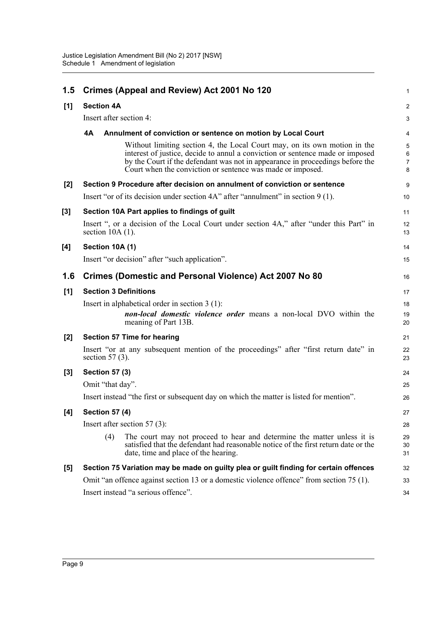| 1.5   |                         | Crimes (Appeal and Review) Act 2001 No 120                                                                                                                                                                                                                                                                | 1                |
|-------|-------------------------|-----------------------------------------------------------------------------------------------------------------------------------------------------------------------------------------------------------------------------------------------------------------------------------------------------------|------------------|
| [1]   | <b>Section 4A</b>       |                                                                                                                                                                                                                                                                                                           | $\overline{c}$   |
|       | Insert after section 4: |                                                                                                                                                                                                                                                                                                           | 3                |
|       | <b>4A</b>               | Annulment of conviction or sentence on motion by Local Court                                                                                                                                                                                                                                              | 4                |
|       |                         | Without limiting section 4, the Local Court may, on its own motion in the<br>interest of justice, decide to annul a conviction or sentence made or imposed<br>by the Court if the defendant was not in appearance in proceedings before the<br>Court when the conviction or sentence was made or imposed. | 5<br>6<br>7<br>8 |
| $[2]$ |                         | Section 9 Procedure after decision on annulment of conviction or sentence                                                                                                                                                                                                                                 | 9                |
|       |                         | Insert "or of its decision under section 4A" after "annulment" in section 9 (1).                                                                                                                                                                                                                          | 10               |
| [3]   |                         | Section 10A Part applies to findings of guilt                                                                                                                                                                                                                                                             | 11               |
|       | section $10A(1)$ .      | Insert ", or a decision of the Local Court under section 4A," after "under this Part" in                                                                                                                                                                                                                  | 12<br>13         |
| [4]   | Section 10A (1)         |                                                                                                                                                                                                                                                                                                           | 14               |
|       |                         | Insert "or decision" after "such application".                                                                                                                                                                                                                                                            | 15               |
| 1.6   |                         | Crimes (Domestic and Personal Violence) Act 2007 No 80                                                                                                                                                                                                                                                    | 16               |
| [1]   |                         | <b>Section 3 Definitions</b>                                                                                                                                                                                                                                                                              | 17               |
|       |                         | Insert in alphabetical order in section $3(1)$ :<br>non-local domestic violence order means a non-local DVO within the<br>meaning of Part 13B.                                                                                                                                                            | 18<br>19<br>20   |
| $[2]$ |                         | <b>Section 57 Time for hearing</b>                                                                                                                                                                                                                                                                        | 21               |
|       | section $57(3)$ .       | Insert "or at any subsequent mention of the proceedings" after "first return date" in                                                                                                                                                                                                                     | 22<br>23         |
| $[3]$ | <b>Section 57 (3)</b>   |                                                                                                                                                                                                                                                                                                           | 24               |
|       | Omit "that day".        |                                                                                                                                                                                                                                                                                                           | 25               |
|       |                         | Insert instead "the first or subsequent day on which the matter is listed for mention".                                                                                                                                                                                                                   | 26               |
| [4]   | <b>Section 57 (4)</b>   |                                                                                                                                                                                                                                                                                                           | 27               |
|       |                         | Insert after section $57(3)$ :                                                                                                                                                                                                                                                                            | 28               |
|       | (4)                     | The court may not proceed to hear and determine the matter unless it is<br>satisfied that the defendant had reasonable notice of the first return date or the<br>date, time and place of the hearing.                                                                                                     | 29<br>30<br>31   |
| [5]   |                         | Section 75 Variation may be made on guilty plea or guilt finding for certain offences                                                                                                                                                                                                                     | 32               |
|       |                         | Omit "an offence against section 13 or a domestic violence offence" from section 75 (1).                                                                                                                                                                                                                  | 33               |
|       |                         | Insert instead "a serious offence".                                                                                                                                                                                                                                                                       | 34               |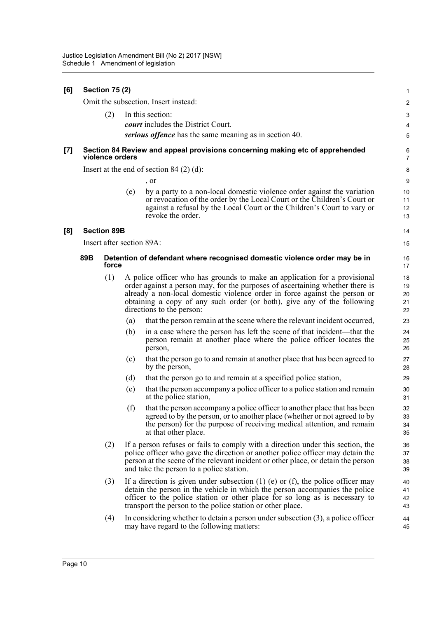#### **[6] Section 75 (2)** Omit the subsection. Insert instead: (2) In this section: *court* includes the District Court. *serious offence* has the same meaning as in section 40. **[7] Section 84 Review and appeal provisions concerning making etc of apprehended violence orders** Insert at the end of section 84 (2) (d): , or (e) by a party to a non-local domestic violence order against the variation or revocation of the order by the Local Court or the Children's Court or against a refusal by the Local Court or the Children's Court to vary or revoke the order. **[8] Section 89B** Insert after section 89A: **89B Detention of defendant where recognised domestic violence order may be in force** (1) A police officer who has grounds to make an application for a provisional order against a person may, for the purposes of ascertaining whether there is already a non-local domestic violence order in force against the person or obtaining a copy of any such order (or both), give any of the following directions to the person: (a) that the person remain at the scene where the relevant incident occurred, (b) in a case where the person has left the scene of that incident—that the person remain at another place where the police officer locates the person, (c) that the person go to and remain at another place that has been agreed to by the person, (d) that the person go to and remain at a specified police station, (e) that the person accompany a police officer to a police station and remain at the police station, (f) that the person accompany a police officer to another place that has been agreed to by the person, or to another place (whether or not agreed to by the person) for the purpose of receiving medical attention, and remain at that other place. (2) If a person refuses or fails to comply with a direction under this section, the police officer who gave the direction or another police officer may detain the person at the scene of the relevant incident or other place, or detain the person and take the person to a police station. (3) If a direction is given under subsection (1) (e) or (f), the police officer may detain the person in the vehicle in which the person accompanies the police officer to the police station or other place for so long as is necessary to transport the person to the police station or other place. (4) In considering whether to detain a person under subsection (3), a police officer may have regard to the following matters: 1  $\mathfrak{p}$ 3 4 5 6 7 8 9 10 11 12 13 14 15 16 17 18 19  $20$ 21 22 23 24 25 26 27 28 29 30 31 32 33 34 35 36 37 38 39 40 41 42 43 44 45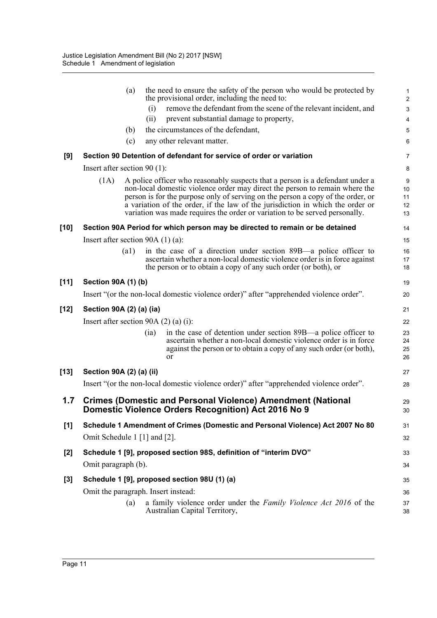|        | the need to ensure the safety of the person who would be protected by<br>(a)<br>the provisional order, including the need to:                                                                                                                                                                                                                                                                                            | $\mathbf{1}$<br>$\overline{c}$ |
|--------|--------------------------------------------------------------------------------------------------------------------------------------------------------------------------------------------------------------------------------------------------------------------------------------------------------------------------------------------------------------------------------------------------------------------------|--------------------------------|
|        | remove the defendant from the scene of the relevant incident, and<br>(i)                                                                                                                                                                                                                                                                                                                                                 | $\ensuremath{\mathsf{3}}$      |
|        | (ii)<br>prevent substantial damage to property,                                                                                                                                                                                                                                                                                                                                                                          | 4                              |
|        | the circumstances of the defendant,<br>(b)                                                                                                                                                                                                                                                                                                                                                                               | $\mathbf 5$                    |
|        | (c)<br>any other relevant matter.                                                                                                                                                                                                                                                                                                                                                                                        | 6                              |
| [9]    | Section 90 Detention of defendant for service of order or variation                                                                                                                                                                                                                                                                                                                                                      | 7                              |
|        | Insert after section $90(1)$ :                                                                                                                                                                                                                                                                                                                                                                                           | 8                              |
|        | (1A)<br>A police officer who reasonably suspects that a person is a defendant under a<br>non-local domestic violence order may direct the person to remain where the<br>person is for the purpose only of serving on the person a copy of the order, or<br>a variation of the order, if the law of the jurisdiction in which the order or<br>variation was made requires the order or variation to be served personally. | 9<br>10<br>11<br>12<br>13      |
| $[10]$ | Section 90A Period for which person may be directed to remain or be detained                                                                                                                                                                                                                                                                                                                                             | 14                             |
|        | Insert after section $90A(1)(a)$ :                                                                                                                                                                                                                                                                                                                                                                                       | 15                             |
|        | in the case of a direction under section 89B—a police officer to<br>$\left( a1\right)$                                                                                                                                                                                                                                                                                                                                   | 16                             |
|        | ascertain whether a non-local domestic violence order is in force against<br>the person or to obtain a copy of any such order (or both), or                                                                                                                                                                                                                                                                              | 17<br>18                       |
| $[11]$ | <b>Section 90A (1) (b)</b>                                                                                                                                                                                                                                                                                                                                                                                               | 19                             |
|        | Insert "(or the non-local domestic violence order)" after "apprehended violence order".                                                                                                                                                                                                                                                                                                                                  | 20                             |
| $[12]$ | Section 90A (2) (a) (ia)                                                                                                                                                                                                                                                                                                                                                                                                 | 21                             |
|        | Insert after section 90A $(2)$ $(a)$ $(i)$ :                                                                                                                                                                                                                                                                                                                                                                             | 22                             |
|        | in the case of detention under section 89B—a police officer to<br>(ia)<br>ascertain whether a non-local domestic violence order is in force<br>against the person or to obtain a copy of any such order (or both),<br><sub>or</sub>                                                                                                                                                                                      | 23<br>24<br>25<br>26           |
| $[13]$ | Section 90A (2) (a) (ii)                                                                                                                                                                                                                                                                                                                                                                                                 | 27                             |
|        | Insert "(or the non-local domestic violence order)" after "apprehended violence order".                                                                                                                                                                                                                                                                                                                                  | 28                             |
| 1.7    | <b>Crimes (Domestic and Personal Violence) Amendment (National</b><br>Domestic Violence Orders Recognition) Act 2016 No 9                                                                                                                                                                                                                                                                                                | 29<br>30                       |
| [1]    | Schedule 1 Amendment of Crimes (Domestic and Personal Violence) Act 2007 No 80                                                                                                                                                                                                                                                                                                                                           | 31                             |
|        | Omit Schedule 1 [1] and [2].                                                                                                                                                                                                                                                                                                                                                                                             | 32                             |
| $[2]$  | Schedule 1 [9], proposed section 98S, definition of "interim DVO"                                                                                                                                                                                                                                                                                                                                                        | 33                             |
|        | Omit paragraph (b).                                                                                                                                                                                                                                                                                                                                                                                                      | 34                             |
| $[3]$  | Schedule 1 [9], proposed section 98U (1) (a)                                                                                                                                                                                                                                                                                                                                                                             | 35                             |
|        | Omit the paragraph. Insert instead:                                                                                                                                                                                                                                                                                                                                                                                      | 36                             |
|        | a family violence order under the <i>Family Violence Act 2016</i> of the<br>(a)<br>Australian Capital Territory,                                                                                                                                                                                                                                                                                                         | 37<br>38                       |
|        |                                                                                                                                                                                                                                                                                                                                                                                                                          |                                |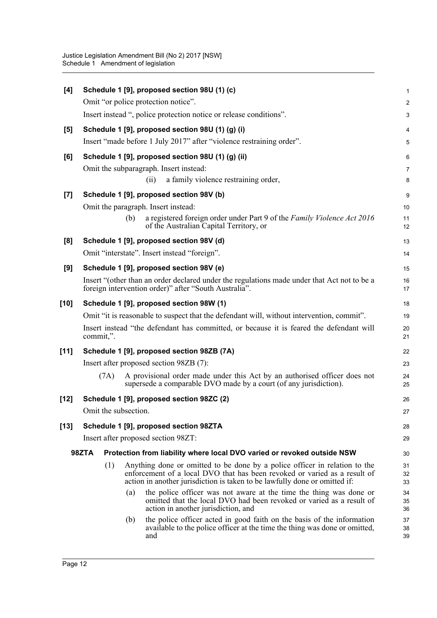| [4]    |                                                                      |                      |     | Schedule 1 [9], proposed section 98U (1) (c)                                                                                                                                                                                          | 1              |  |  |  |
|--------|----------------------------------------------------------------------|----------------------|-----|---------------------------------------------------------------------------------------------------------------------------------------------------------------------------------------------------------------------------------------|----------------|--|--|--|
|        |                                                                      |                      |     | Omit "or police protection notice".                                                                                                                                                                                                   | $\overline{a}$ |  |  |  |
|        |                                                                      |                      |     | Insert instead ", police protection notice or release conditions".                                                                                                                                                                    | 3              |  |  |  |
| $[5]$  |                                                                      |                      |     | Schedule 1 [9], proposed section 98U (1) (g) (i)                                                                                                                                                                                      | 4              |  |  |  |
|        | Insert "made before 1 July 2017" after "violence restraining order". |                      |     |                                                                                                                                                                                                                                       |                |  |  |  |
| [6]    |                                                                      |                      |     | Schedule 1 [9], proposed section 98U (1) (g) (ii)                                                                                                                                                                                     | 6              |  |  |  |
|        |                                                                      |                      |     | Omit the subparagraph. Insert instead:                                                                                                                                                                                                | 7              |  |  |  |
|        |                                                                      |                      |     | a family violence restraining order,<br>(i)                                                                                                                                                                                           | 8              |  |  |  |
| $[7]$  |                                                                      |                      |     | Schedule 1 [9], proposed section 98V (b)                                                                                                                                                                                              | 9              |  |  |  |
|        |                                                                      |                      |     | Omit the paragraph. Insert instead:                                                                                                                                                                                                   | 10             |  |  |  |
|        |                                                                      |                      | (b) | a registered foreign order under Part 9 of the Family Violence Act 2016<br>of the Australian Capital Territory, or                                                                                                                    | 11<br>12       |  |  |  |
| [8]    |                                                                      |                      |     | Schedule 1 [9], proposed section 98V (d)                                                                                                                                                                                              | 13             |  |  |  |
|        |                                                                      |                      |     | Omit "interstate". Insert instead "foreign".                                                                                                                                                                                          | 14             |  |  |  |
| [9]    |                                                                      |                      |     | Schedule 1 [9], proposed section 98V (e)                                                                                                                                                                                              | 15             |  |  |  |
|        |                                                                      |                      |     | Insert "(other than an order declared under the regulations made under that Act not to be a<br>foreign intervention order)" after "South Australia".                                                                                  | 16<br>17       |  |  |  |
| [10]   |                                                                      |                      |     | Schedule 1 [9], proposed section 98W (1)                                                                                                                                                                                              | 18             |  |  |  |
|        |                                                                      |                      |     | Omit "it is reasonable to suspect that the defendant will, without intervention, commit".                                                                                                                                             | 19             |  |  |  |
|        |                                                                      | commit,".            |     | Insert instead "the defendant has committed, or because it is feared the defendant will                                                                                                                                               | 20<br>21       |  |  |  |
| $[11]$ |                                                                      |                      |     | Schedule 1 [9], proposed section 98ZB (7A)                                                                                                                                                                                            | 22             |  |  |  |
|        |                                                                      |                      |     | Insert after proposed section 98ZB (7):                                                                                                                                                                                               | 23             |  |  |  |
|        |                                                                      | (7A)                 |     | A provisional order made under this Act by an authorised officer does not<br>supersede a comparable DVO made by a court (of any jurisdiction).                                                                                        | 24<br>25       |  |  |  |
| $[12]$ |                                                                      |                      |     | Schedule 1 [9], proposed section 98ZC (2)                                                                                                                                                                                             | 26             |  |  |  |
|        |                                                                      | Omit the subsection. |     |                                                                                                                                                                                                                                       | 27             |  |  |  |
| $[13]$ |                                                                      |                      |     | Schedule 1 [9], proposed section 98ZTA                                                                                                                                                                                                | 28             |  |  |  |
|        |                                                                      |                      |     | Insert after proposed section 98ZT:                                                                                                                                                                                                   | 29             |  |  |  |
|        | 98ZTA                                                                |                      |     | Protection from liability where local DVO varied or revoked outside NSW                                                                                                                                                               | 30             |  |  |  |
|        |                                                                      | (1)                  |     | Anything done or omitted to be done by a police officer in relation to the<br>enforcement of a local DVO that has been revoked or varied as a result of<br>action in another jurisdiction is taken to be lawfully done or omitted if: | 31<br>32<br>33 |  |  |  |
|        |                                                                      |                      | (a) | the police officer was not aware at the time the thing was done or<br>omitted that the local DVO had been revoked or varied as a result of<br>action in another jurisdiction, and                                                     | 34<br>35<br>36 |  |  |  |
|        |                                                                      |                      | (b) | the police officer acted in good faith on the basis of the information<br>available to the police officer at the time the thing was done or omitted,<br>and                                                                           | 37<br>38<br>39 |  |  |  |
|        |                                                                      |                      |     |                                                                                                                                                                                                                                       |                |  |  |  |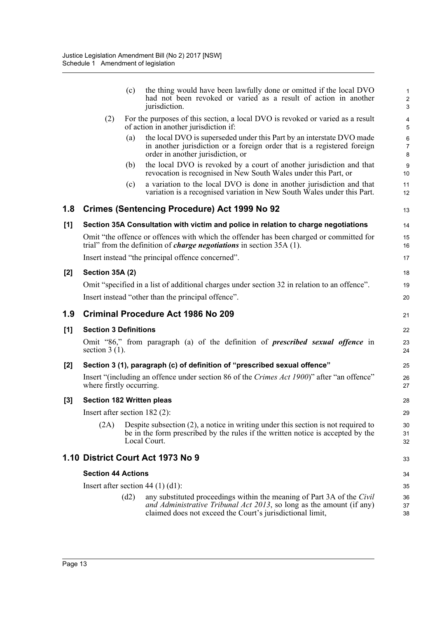|       |                                  | (c)  | the thing would have been lawfully done or omitted if the local DVO<br>had not been revoked or varied as a result of action in another<br>jurisdiction.                                                     | $\mathbf{1}$<br>$\overline{c}$<br>3 |
|-------|----------------------------------|------|-------------------------------------------------------------------------------------------------------------------------------------------------------------------------------------------------------------|-------------------------------------|
|       | (2)                              |      | For the purposes of this section, a local DVO is revoked or varied as a result<br>of action in another jurisdiction if:                                                                                     | 4<br>5                              |
|       |                                  | (a)  | the local DVO is superseded under this Part by an interstate DVO made<br>in another jurisdiction or a foreign order that is a registered foreign<br>order in another jurisdiction, or                       | $\,6\,$<br>$\overline{7}$<br>8      |
|       |                                  | (b)  | the local DVO is revoked by a court of another jurisdiction and that<br>revocation is recognised in New South Wales under this Part, or                                                                     | 9<br>10                             |
|       |                                  | (c)  | a variation to the local DVO is done in another jurisdiction and that<br>variation is a recognised variation in New South Wales under this Part.                                                            | 11<br>12                            |
| 1.8   |                                  |      | <b>Crimes (Sentencing Procedure) Act 1999 No 92</b>                                                                                                                                                         | 13                                  |
| $[1]$ |                                  |      | Section 35A Consultation with victim and police in relation to charge negotiations                                                                                                                          | 14                                  |
|       |                                  |      | Omit "the offence or offences with which the offender has been charged or committed for<br>trial" from the definition of <i>charge negotiations</i> in section $35A(1)$ .                                   | 15<br>16                            |
|       |                                  |      | Insert instead "the principal offence concerned".                                                                                                                                                           | 17                                  |
| $[2]$ | Section 35A (2)                  |      |                                                                                                                                                                                                             | 18                                  |
|       |                                  |      | Omit "specified in a list of additional charges under section 32 in relation to an offence".                                                                                                                | 19                                  |
|       |                                  |      | Insert instead "other than the principal offence".                                                                                                                                                          | 20                                  |
|       |                                  |      |                                                                                                                                                                                                             |                                     |
| 1.9   |                                  |      | <b>Criminal Procedure Act 1986 No 209</b>                                                                                                                                                                   | 21                                  |
| [1]   | <b>Section 3 Definitions</b>     |      |                                                                                                                                                                                                             | 22                                  |
|       | section $3(1)$ .                 |      | Omit "86," from paragraph (a) of the definition of <i>prescribed sexual offence</i> in                                                                                                                      | 23<br>24                            |
| $[2]$ |                                  |      | Section 3 (1), paragraph (c) of definition of "prescribed sexual offence"                                                                                                                                   | 25                                  |
|       | where firstly occurring.         |      | Insert "(including an offence under section 86 of the Crimes Act 1900)" after "an offence"                                                                                                                  | 26<br>27                            |
| $[3]$ | <b>Section 182 Written pleas</b> |      |                                                                                                                                                                                                             | 28                                  |
|       | Insert after section $182$ (2):  |      |                                                                                                                                                                                                             | 29                                  |
|       | (2A)                             |      | Despite subsection $(2)$ , a notice in writing under this section is not required to<br>be in the form prescribed by the rules if the written notice is accepted by the<br>Local Court.                     | 30<br>31<br>32                      |
|       |                                  |      | 1.10 District Court Act 1973 No 9                                                                                                                                                                           | 33                                  |
|       | <b>Section 44 Actions</b>        |      |                                                                                                                                                                                                             | 34                                  |
|       |                                  |      | Insert after section $44(1)(d1)$ :                                                                                                                                                                          | 35                                  |
|       |                                  | (d2) | any substituted proceedings within the meaning of Part 3A of the Civil<br>and Administrative Tribunal Act 2013, so long as the amount (if any)<br>claimed does not exceed the Court's jurisdictional limit, | 36<br>37<br>38                      |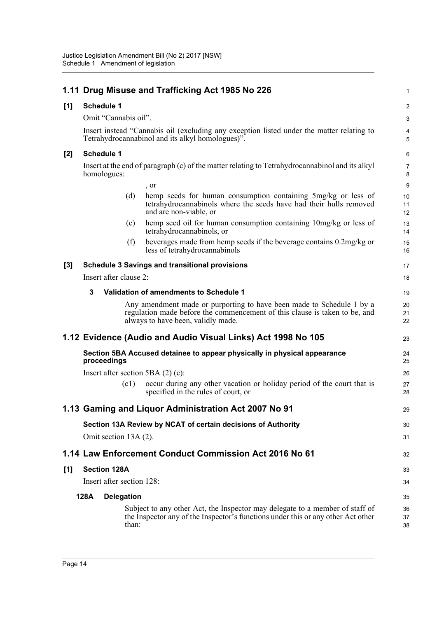|       | 1.11 Drug Misuse and Trafficking Act 1985 No 226                                                                                                                                          | 1                   |  |  |  |  |
|-------|-------------------------------------------------------------------------------------------------------------------------------------------------------------------------------------------|---------------------|--|--|--|--|
| [1]   | <b>Schedule 1</b>                                                                                                                                                                         | 2                   |  |  |  |  |
|       | Omit "Cannabis oil".                                                                                                                                                                      | 3                   |  |  |  |  |
|       | Insert instead "Cannabis oil (excluding any exception listed under the matter relating to<br>Tetrahydrocannabinol and its alkyl homologues)".                                             |                     |  |  |  |  |
| $[2]$ | <b>Schedule 1</b>                                                                                                                                                                         |                     |  |  |  |  |
|       | Insert at the end of paragraph (c) of the matter relating to Tetrahydrocannabinol and its alkyl<br>homologues:                                                                            | $\overline{7}$<br>8 |  |  |  |  |
|       | , or                                                                                                                                                                                      | 9                   |  |  |  |  |
|       | (d)<br>hemp seeds for human consumption containing 5mg/kg or less of<br>tetrahydrocannabinols where the seeds have had their hulls removed<br>and are non-viable, or                      | 10<br>11<br>12      |  |  |  |  |
|       | hemp seed oil for human consumption containing 10mg/kg or less of<br>(e)<br>tetrahydrocannabinols, or                                                                                     | 13<br>14            |  |  |  |  |
|       | beverages made from hemp seeds if the beverage contains 0.2mg/kg or<br>(f)<br>less of tetrahydrocannabinols                                                                               | 15<br>16            |  |  |  |  |
| $[3]$ | <b>Schedule 3 Savings and transitional provisions</b>                                                                                                                                     | 17                  |  |  |  |  |
|       | Insert after clause 2:                                                                                                                                                                    | 18                  |  |  |  |  |
|       | 3<br>Validation of amendments to Schedule 1                                                                                                                                               | 19                  |  |  |  |  |
|       | Any amendment made or purporting to have been made to Schedule 1 by a<br>regulation made before the commencement of this clause is taken to be, and<br>always to have been, validly made. | 20<br>21<br>22      |  |  |  |  |
|       | 1.12 Evidence (Audio and Audio Visual Links) Act 1998 No 105                                                                                                                              | 23                  |  |  |  |  |
|       | Section 5BA Accused detainee to appear physically in physical appearance<br>proceedings                                                                                                   | 24<br>25            |  |  |  |  |
|       | Insert after section 5BA $(2)$ $(c)$ :                                                                                                                                                    | 26                  |  |  |  |  |
|       | occur during any other vacation or holiday period of the court that is<br>(c1)<br>specified in the rules of court, or                                                                     | 27<br>28            |  |  |  |  |
|       | 1.13 Gaming and Liquor Administration Act 2007 No 91                                                                                                                                      | 29                  |  |  |  |  |
|       | Section 13A Review by NCAT of certain decisions of Authority                                                                                                                              | 30                  |  |  |  |  |
|       | Omit section 13A (2).                                                                                                                                                                     | 31                  |  |  |  |  |
|       | 1.14 Law Enforcement Conduct Commission Act 2016 No 61                                                                                                                                    | 32                  |  |  |  |  |
| [1]   | <b>Section 128A</b>                                                                                                                                                                       | 33                  |  |  |  |  |
|       | Insert after section 128:                                                                                                                                                                 | 34                  |  |  |  |  |
|       | 128A<br><b>Delegation</b>                                                                                                                                                                 | 35                  |  |  |  |  |
|       | Subject to any other Act, the Inspector may delegate to a member of staff of<br>the Inspector any of the Inspector's functions under this or any other Act other<br>than:                 | 36<br>37<br>38      |  |  |  |  |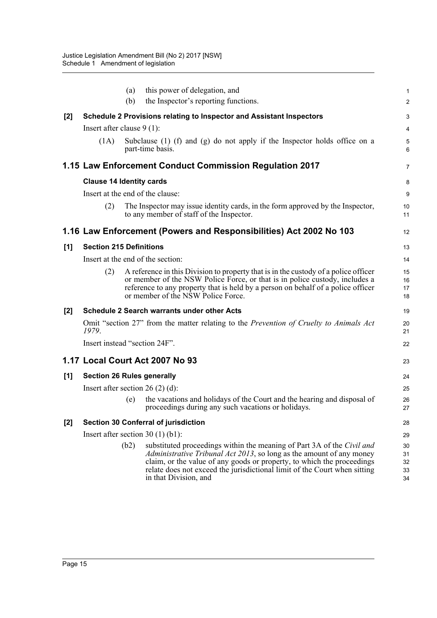|       |                                   | (a)  | this power of delegation, and                                                                                                                                                                                                                                                                                                          | $\mathbf{1}$               |
|-------|-----------------------------------|------|----------------------------------------------------------------------------------------------------------------------------------------------------------------------------------------------------------------------------------------------------------------------------------------------------------------------------------------|----------------------------|
|       |                                   | (b)  | the Inspector's reporting functions.                                                                                                                                                                                                                                                                                                   | $\boldsymbol{2}$           |
| $[2]$ |                                   |      | Schedule 2 Provisions relating to Inspector and Assistant Inspectors                                                                                                                                                                                                                                                                   | 3                          |
|       | Insert after clause $9(1)$ :      |      |                                                                                                                                                                                                                                                                                                                                        | 4                          |
|       | (1A)                              |      | Subclause $(1)$ $(f)$ and $(g)$ do not apply if the Inspector holds office on a<br>part-time basis.                                                                                                                                                                                                                                    | $\sqrt{5}$<br>6            |
|       |                                   |      | 1.15 Law Enforcement Conduct Commission Regulation 2017                                                                                                                                                                                                                                                                                | 7                          |
|       | <b>Clause 14 Identity cards</b>   |      |                                                                                                                                                                                                                                                                                                                                        | 8                          |
|       | Insert at the end of the clause:  |      |                                                                                                                                                                                                                                                                                                                                        | 9                          |
|       | (2)                               |      | The Inspector may issue identity cards, in the form approved by the Inspector,<br>to any member of staff of the Inspector.                                                                                                                                                                                                             | 10<br>11                   |
|       |                                   |      | 1.16 Law Enforcement (Powers and Responsibilities) Act 2002 No 103                                                                                                                                                                                                                                                                     | 12                         |
| [1]   | <b>Section 215 Definitions</b>    |      |                                                                                                                                                                                                                                                                                                                                        | 13                         |
|       |                                   |      | Insert at the end of the section:                                                                                                                                                                                                                                                                                                      | 14                         |
|       | (2)                               |      | A reference in this Division to property that is in the custody of a police officer<br>or member of the NSW Police Force, or that is in police custody, includes a<br>reference to any property that is held by a person on behalf of a police officer<br>or member of the NSW Police Force.                                           | 15<br>16<br>17<br>18       |
| $[2]$ |                                   |      | <b>Schedule 2 Search warrants under other Acts</b>                                                                                                                                                                                                                                                                                     | 19                         |
|       | 1979.                             |      | Omit "section 27" from the matter relating to the Prevention of Cruelty to Animals Act                                                                                                                                                                                                                                                 | 20<br>21                   |
|       | Insert instead "section 24F".     |      |                                                                                                                                                                                                                                                                                                                                        | 22                         |
|       |                                   |      | 1.17 Local Court Act 2007 No 93                                                                                                                                                                                                                                                                                                        | 23                         |
| [1]   | <b>Section 26 Rules generally</b> |      |                                                                                                                                                                                                                                                                                                                                        | 24                         |
|       | Insert after section $26(2)(d)$ : |      |                                                                                                                                                                                                                                                                                                                                        | 25                         |
|       |                                   | (e)  | the vacations and holidays of the Court and the hearing and disposal of<br>proceedings during any such vacations or holidays.                                                                                                                                                                                                          | 26<br>27                   |
| $[2]$ |                                   |      | <b>Section 30 Conferral of jurisdiction</b>                                                                                                                                                                                                                                                                                            | 28                         |
|       |                                   |      | Insert after section $30(1)(b1)$ :                                                                                                                                                                                                                                                                                                     | 29                         |
|       |                                   | (b2) | substituted proceedings within the meaning of Part 3A of the Civil and<br><i>Administrative Tribunal Act 2013</i> , so long as the amount of any money<br>claim, or the value of any goods or property, to which the proceedings<br>relate does not exceed the jurisdictional limit of the Court when sitting<br>in that Division, and | 30<br>31<br>32<br>33<br>34 |
|       |                                   |      |                                                                                                                                                                                                                                                                                                                                        |                            |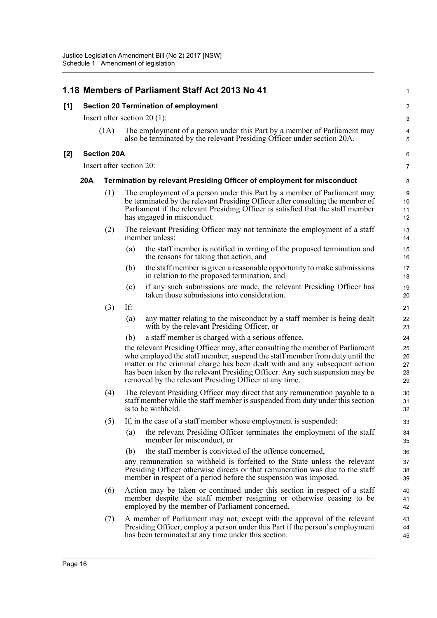|     |     |                          |                                                                               | 1.18 Members of Parliament Staff Act 2013 No 41                                                                                                                                                                                                                                                                                                                                       | $\mathbf{1}$                 |
|-----|-----|--------------------------|-------------------------------------------------------------------------------|---------------------------------------------------------------------------------------------------------------------------------------------------------------------------------------------------------------------------------------------------------------------------------------------------------------------------------------------------------------------------------------|------------------------------|
| [1] |     |                          |                                                                               | <b>Section 20 Termination of employment</b>                                                                                                                                                                                                                                                                                                                                           | $\overline{\mathbf{c}}$      |
|     |     |                          |                                                                               | Insert after section $20(1)$ :                                                                                                                                                                                                                                                                                                                                                        | 3                            |
|     |     | (1A)                     |                                                                               | The employment of a person under this Part by a member of Parliament may<br>also be terminated by the relevant Presiding Officer under section 20A.                                                                                                                                                                                                                                   | $\overline{4}$<br>$\sqrt{5}$ |
| [2] |     | <b>Section 20A</b>       |                                                                               |                                                                                                                                                                                                                                                                                                                                                                                       | 6                            |
|     |     | Insert after section 20: |                                                                               |                                                                                                                                                                                                                                                                                                                                                                                       | 7                            |
|     | 20A |                          | <b>Termination by relevant Presiding Officer of employment for misconduct</b> |                                                                                                                                                                                                                                                                                                                                                                                       |                              |
|     |     | (1)                      |                                                                               | The employment of a person under this Part by a member of Parliament may<br>be terminated by the relevant Presiding Officer after consulting the member of<br>Parliament if the relevant Presiding Officer is satisfied that the staff member<br>has engaged in misconduct.                                                                                                           | 9<br>10<br>11<br>12          |
|     |     | (2)                      |                                                                               | The relevant Presiding Officer may not terminate the employment of a staff<br>member unless:                                                                                                                                                                                                                                                                                          | 13<br>14                     |
|     |     |                          | (a)                                                                           | the staff member is notified in writing of the proposed termination and<br>the reasons for taking that action, and                                                                                                                                                                                                                                                                    | 15<br>16                     |
|     |     |                          | (b)                                                                           | the staff member is given a reasonable opportunity to make submissions<br>in relation to the proposed termination, and                                                                                                                                                                                                                                                                | 17<br>18                     |
|     |     |                          | (c)                                                                           | if any such submissions are made, the relevant Presiding Officer has<br>taken those submissions into consideration.                                                                                                                                                                                                                                                                   | 19<br>20                     |
|     |     | (3)                      | If:                                                                           |                                                                                                                                                                                                                                                                                                                                                                                       | 21                           |
|     |     |                          | (a)                                                                           | any matter relating to the misconduct by a staff member is being dealt<br>with by the relevant Presiding Officer, or                                                                                                                                                                                                                                                                  | 22<br>23                     |
|     |     |                          | (b)                                                                           | a staff member is charged with a serious offence,                                                                                                                                                                                                                                                                                                                                     | 24                           |
|     |     |                          |                                                                               | the relevant Presiding Officer may, after consulting the member of Parliament<br>who employed the staff member, suspend the staff member from duty until the<br>matter or the criminal charge has been dealt with and any subsequent action<br>has been taken by the relevant Presiding Officer. Any such suspension may be<br>removed by the relevant Presiding Officer at any time. | 25<br>26<br>27<br>28<br>29   |
|     |     | (4)                      |                                                                               | The relevant Presiding Officer may direct that any remuneration payable to a<br>staff member while the staff member is suspended from duty under this section<br>is to be withheld.                                                                                                                                                                                                   | 30<br>31<br>32               |
|     |     | (5)                      |                                                                               | If, in the case of a staff member whose employment is suspended:                                                                                                                                                                                                                                                                                                                      | 33                           |
|     |     |                          | (a)                                                                           | the relevant Presiding Officer terminates the employment of the staff<br>member for misconduct, or                                                                                                                                                                                                                                                                                    | 34<br>35                     |
|     |     |                          | (b)                                                                           | the staff member is convicted of the offence concerned,                                                                                                                                                                                                                                                                                                                               | 36                           |
|     |     |                          |                                                                               | any remuneration so withheld is forfeited to the State unless the relevant<br>Presiding Officer otherwise directs or that remuneration was due to the staff<br>member in respect of a period before the suspension was imposed.                                                                                                                                                       | 37<br>38<br>39               |
|     |     | (6)                      |                                                                               | Action may be taken or continued under this section in respect of a staff<br>member despite the staff member resigning or otherwise ceasing to be<br>employed by the member of Parliament concerned.                                                                                                                                                                                  | 40<br>41<br>42               |
|     |     | (7)                      |                                                                               | A member of Parliament may not, except with the approval of the relevant<br>Presiding Officer, employ a person under this Part if the person's employment<br>has been terminated at any time under this section.                                                                                                                                                                      | 43<br>44<br>45               |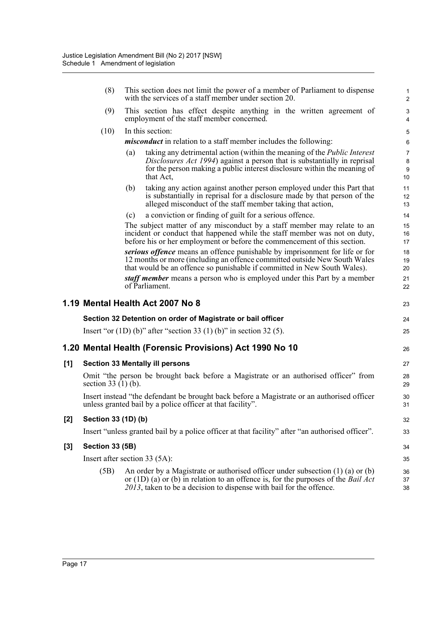|       | (8)                                                                                                         | This section does not limit the power of a member of Parliament to dispense<br>with the services of a staff member under section 20.                                                                                                                      | $\mathbf{1}$<br>2              |  |
|-------|-------------------------------------------------------------------------------------------------------------|-----------------------------------------------------------------------------------------------------------------------------------------------------------------------------------------------------------------------------------------------------------|--------------------------------|--|
|       | (9)                                                                                                         | This section has effect despite anything in the written agreement of<br>employment of the staff member concerned.                                                                                                                                         | $\ensuremath{\mathsf{3}}$<br>4 |  |
|       | (10)                                                                                                        | In this section:                                                                                                                                                                                                                                          | $\mathbf 5$                    |  |
|       |                                                                                                             | <i>misconduct</i> in relation to a staff member includes the following:                                                                                                                                                                                   | 6                              |  |
|       |                                                                                                             | taking any detrimental action (within the meaning of the Public Interest<br>(a)                                                                                                                                                                           | $\overline{7}$                 |  |
|       |                                                                                                             | Disclosures Act 1994) against a person that is substantially in reprisal<br>for the person making a public interest disclosure within the meaning of<br>that Act,                                                                                         | 8<br>$9\,$<br>10               |  |
|       |                                                                                                             | taking any action against another person employed under this Part that<br>(b)                                                                                                                                                                             | 11                             |  |
|       |                                                                                                             | is substantially in reprisal for a disclosure made by that person of the<br>alleged misconduct of the staff member taking that action,                                                                                                                    | 12<br>13                       |  |
|       |                                                                                                             | a conviction or finding of guilt for a serious offence.<br>(c)                                                                                                                                                                                            | 14                             |  |
|       |                                                                                                             | The subject matter of any misconduct by a staff member may relate to an<br>incident or conduct that happened while the staff member was not on duty,<br>before his or her employment or before the commencement of this section.                          | 15<br>16<br>17                 |  |
|       |                                                                                                             | serious offence means an offence punishable by imprisonment for life or for                                                                                                                                                                               | 18                             |  |
|       |                                                                                                             | 12 months or more (including an offence committed outside New South Wales<br>that would be an offence so punishable if committed in New South Wales).                                                                                                     | 19<br>20                       |  |
|       |                                                                                                             | <i>staff member</i> means a person who is employed under this Part by a member<br>of Parliament.                                                                                                                                                          | 21<br>22                       |  |
|       |                                                                                                             | 1.19 Mental Health Act 2007 No 8                                                                                                                                                                                                                          | 23                             |  |
|       |                                                                                                             | Section 32 Detention on order of Magistrate or bail officer                                                                                                                                                                                               | 24                             |  |
|       |                                                                                                             | Insert "or $(1D)$ (b)" after "section 33 $(1)$ (b)" in section 32 $(5)$ .                                                                                                                                                                                 | 25                             |  |
|       |                                                                                                             | 1.20 Mental Health (Forensic Provisions) Act 1990 No 10                                                                                                                                                                                                   | 26                             |  |
| [1]   | <b>Section 33 Mentally ill persons</b>                                                                      |                                                                                                                                                                                                                                                           |                                |  |
|       | Omit "the person be brought back before a Magistrate or an authorised officer" from<br>section $33(1)(b)$ . |                                                                                                                                                                                                                                                           |                                |  |
|       |                                                                                                             | Insert instead "the defendant be brought back before a Magistrate or an authorised officer<br>unless granted bail by a police officer at that facility".                                                                                                  | 30<br>31                       |  |
| $[2]$ | Section 33 (1D) (b)                                                                                         |                                                                                                                                                                                                                                                           | 32                             |  |
|       |                                                                                                             | Insert "unless granted bail by a police officer at that facility" after "an authorised officer".                                                                                                                                                          | 33                             |  |
| $[3]$ | <b>Section 33 (5B)</b>                                                                                      |                                                                                                                                                                                                                                                           |                                |  |
|       | Insert after section 33 (5A):                                                                               |                                                                                                                                                                                                                                                           |                                |  |
|       | (5B)                                                                                                        |                                                                                                                                                                                                                                                           | 36                             |  |
|       |                                                                                                             | An order by a Magistrate or authorised officer under subsection $(1)$ $(a)$ or $(b)$<br>or $(1D)$ (a) or (b) in relation to an offence is, for the purposes of the <i>Bail Act</i><br>2013, taken to be a decision to dispense with bail for the offence. | 37<br>38                       |  |